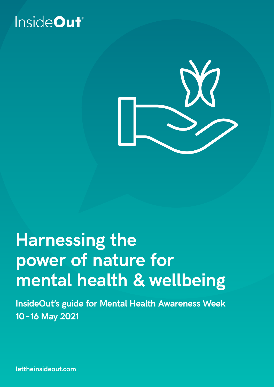



## **Harnessing the power of nature for mental health & wellbeing**

**InsideOut's guide for Mental Health Awareness Week 10 –16 May 2021**

**lettheinsideout.com**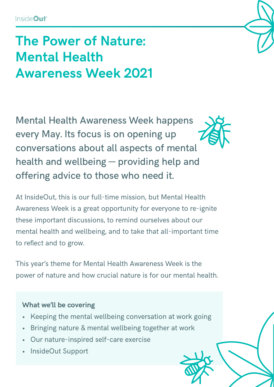## **The Power of Nature: Mental Health Awareness Week 2021**

Mental Health Awareness Week happens every May. Its focus is on opening up conversations about all aspects of mental health and wellbeing — providing help and offering advice to those who need it.

At InsideOut, this is our full-time mission, but Mental Health Awareness Week is a great opportunity for everyone to re-ignite these important discussions, to remind ourselves about our mental health and wellbeing, and to take that all-important time to reflect and to grow.

This year's theme for Mental Health Awareness Week is the power of nature and how crucial nature is for our mental health.

### **What we'll be covering**

- Keeping the mental wellbeing conversation at work going
- Bringing nature & mental wellbeing together at work
- Our nature-inspired self-care exercise
- InsideOut Support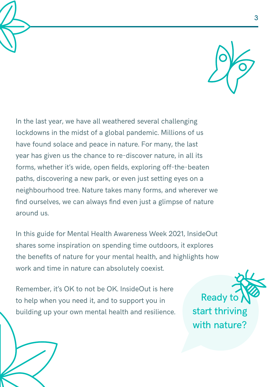

In the last year, we have all weathered several challenging lockdowns in the midst of a global pandemic. Millions of us have found solace and peace in nature. For many, the last year has given us the chance to re-discover nature, in all its forms, whether it's wide, open fields, exploring off-the-beaten paths, discovering a new park, or even just setting eyes on a neighbourhood tree. Nature takes many forms, and wherever we find ourselves, we can always find even just a glimpse of nature around us.

In this guide for Mental Health Awareness Week 2021, InsideOut shares some inspiration on spending time outdoors, it explores the benefits of nature for your mental health, and highlights how work and time in nature can absolutely coexist.

Remember, it's OK to not be OK. InsideOut is here to help when you need it, and to support you in building up your own mental health and resilience.

**Ready t** start thriving with nature?

3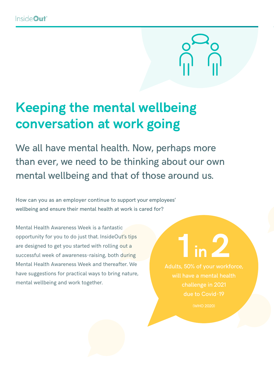

## **Keeping the mental wellbeing conversation at work going**

We all have mental health. Now, perhaps more than ever, we need to be thinking about our own mental wellbeing and that of those around us.

How can you as an employer continue to support your employees' wellbeing and ensure their mental health at work is cared for?

Mental Health Awareness Week is a fantastic opportunity for you to do just that. InsideOut's tips are designed to get you started with rolling out a successful week of awareness-raising, both during Mental Health Awareness Week and thereafter. We have suggestions for practical ways to bring nature, mental wellbeing and work together.

# **1 in 2**

Adults, 50% of your workforce, challenge in 2021 due to Covid-19

(WHO 2020)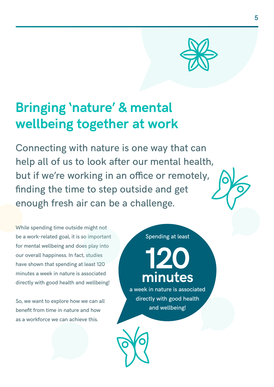

## **Bringing 'nature' & mental wellbeing together at work**

Connecting with nature is one way that can help all of us to look after our mental health, but if we're working in an office or remotely, finding the time to step outside and get enough fresh air can be a challenge.

While spending time outside might not be a work-related goal, it is so important for mental wellbeing and does play into our overall happiness. In fact, studies have shown that spending at least 120 minutes a week in nature is associated directly with good health and wellbeing!

So, we want to explore how we can all benefit from time in nature and how as a workforce we can achieve this.

Spending at least

## **120 minutes**

a week in nature is associated directly with good health and wellbeing!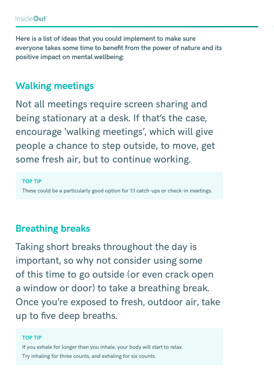**Here is a list of ideas that you could implement to make sure everyone takes some time to benefit from the power of nature and its positive impact on mental wellbeing:**

## **Walking meetings**

Not all meetings require screen sharing and being stationary at a desk. If that's the case, encourage 'walking meetings', which will give people a chance to step outside, to move, get some fresh air, but to continue working.

#### **TOP TIP**

These could be a particularly good option for 1:1 catch-ups or check-in meetings.

## **Breathing breaks**

Taking short breaks throughout the day is important, so why not consider using some of this time to go outside (or even crack open a window or door) to take a breathing break. Once you're exposed to fresh, outdoor air, take up to five deep breaths.

#### **TOP TIP**

If you exhale for longer than you inhale, your body will start to relax. Try inhaling for three counts, and exhaling for six counts.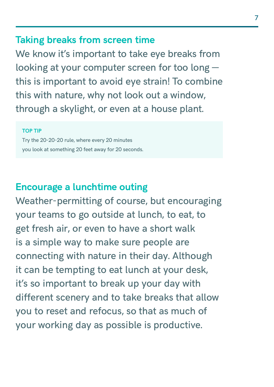### **Taking breaks from screen time**

We know it's important to take eye breaks from looking at your computer screen for too long this is important to avoid eye strain! To combine this with nature, why not look out a window, through a skylight, or even at a house plant.

#### **TOP TIP**

Try the 20-20-20 rule, where every 20 minutes you look at something 20 feet away for 20 seconds.

### **Encourage a lunchtime outing**

Weather-permitting of course, but encouraging your teams to go outside at lunch, to eat, to get fresh air, or even to have a short walk is a simple way to make sure people are connecting with nature in their day. Although it can be tempting to eat lunch at your desk, it's so important to break up your day with different scenery and to take breaks that allow you to reset and refocus, so that as much of your working day as possible is productive.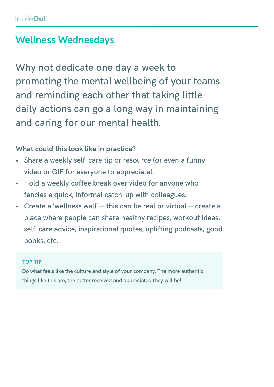## **Wellness Wednesdays**

Why not dedicate one day a week to promoting the mental wellbeing of your teams and reminding each other that taking little daily actions can go a long way in maintaining and caring for our mental health.

### **What could this look like in practice?**

- Share a weekly self-care tip or resource (or even a funny video or GIF for everyone to appreciate).
- Hold a weekly coffee break over video for anyone who fancies a quick, informal catch-up with colleagues.
- Create a 'wellness wall' this can be real or virtual create a place where people can share healthy recipes, workout ideas, self-care advice, inspirational quotes, uplifting podcasts, good books, etc.!

#### **TOP TIP**

Do what feels like the culture and style of your company. The more authentic things like this are, the better received and appreciated they will be!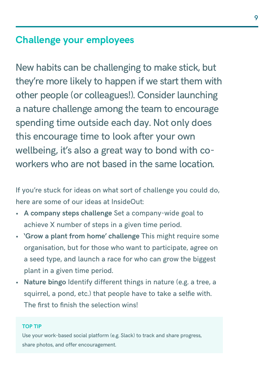## **Challenge your employees**

New habits can be challenging to make stick, but they're more likely to happen if we start them with other people (or colleagues!). Consider launching a nature challenge among the team to encourage spending time outside each day. Not only does this encourage time to look after your own wellbeing, it's also a great way to bond with coworkers who are not based in the same location.

If you're stuck for ideas on what sort of challenge you could do, here are some of our ideas at InsideOut:

- **• A company steps challenge** Set a company-wide goal to achieve X number of steps in a given time period.
- **• 'Grow a plant from home' challenge** This might require some organisation, but for those who want to participate, agree on a seed type, and launch a race for who can grow the biggest plant in a given time period.
- **• Nature bingo** Identify different things in nature (e.g. a tree, a squirrel, a pond, etc.) that people have to take a selfie with. The first to finish the selection wins!

#### **TOP TIP**

Use your work-based social platform (e.g. Slack) to track and share progress, share photos, and offer encouragement.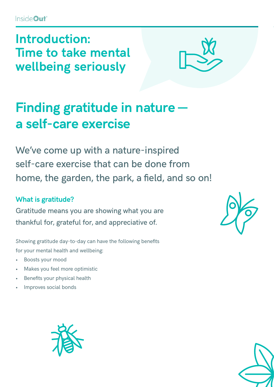**Introduction: Time to take mental wellbeing seriously**



## **Finding gratitude in nature a self-care exercise**

We've come up with a nature-inspired self-care exercise that can be done from home, the garden, the park, a field, and so on!

### **What is gratitude?**

Gratitude means you are showing what you are thankful for, grateful for, and appreciative of.

Showing gratitude day-to-day can have the following benefits for your mental health and wellbeing:

- Boosts your mood
- Makes you feel more optimistic
- Benefits your physical health
- Improves social bonds





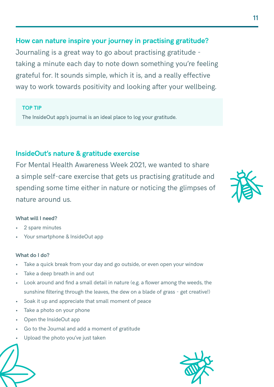### **How can nature inspire your journey in practising gratitude?**

Journaling is a great way to go about practising gratitude taking a minute each day to note down something you're feeling grateful for. It sounds simple, which it is, and a really effective way to work towards positivity and looking after your wellbeing.

#### **TOP TIP**

The InsideOut app's journal is an ideal place to log your gratitude.

### **InsideOut's nature & gratitude exercise**

For Mental Health Awareness Week 2021, we wanted to share a simple self-care exercise that gets us practising gratitude and spending some time either in nature or noticing the glimpses of nature around us.

#### **What will I need?**

- 2 spare minutes
- Your smartphone & InsideOut app

#### **What do I do?**

- Take a quick break from your day and go outside, or even open your window
- Take a deep breath in and out
- Look around and find a small detail in nature (e.g. a flower among the weeds, the sunshine filtering through the leaves, the dew on a blade of grass - get creative!)
- Soak it up and appreciate that small moment of peace
- Take a photo on your phone
- Open the InsideOut app
- Go to the Journal and add a moment of gratitude
- Upload the photo you've just taken



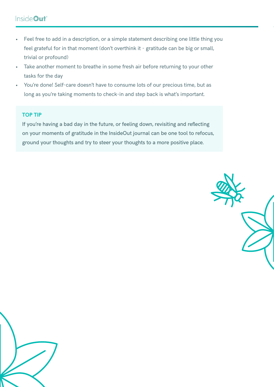### InsideOut<sup>®</sup>

- Feel free to add in a description, or a simple statement describing one little thing you feel grateful for in that moment (don't overthink it - gratitude can be big or small, trivial or profound)
- Take another moment to breathe in some fresh air before returning to your other tasks for the day
- You're done! Self-care doesn't have to consume lots of our precious time, but as long as you're taking moments to check-in and step back is what's important.

#### **TOP TIP**

If you're having a bad day in the future, or feeling down, revisiting and reflecting on your moments of gratitude in the InsideOut journal can be one tool to refocus, ground your thoughts and try to steer your thoughts to a more positive place.



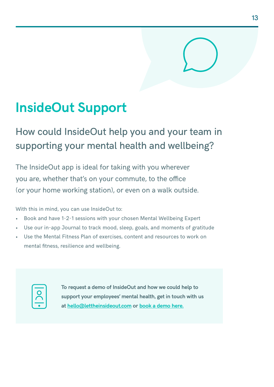## **InsideOut Support**

## How could InsideOut help you and your team in supporting your mental health and wellbeing?

The InsideOut app is ideal for taking with you wherever you are, whether that's on your commute, to the office (or your home working station), or even on a walk outside.

With this in mind, you can use InsideOut to:

- Book and have 1-2-1 sessions with your chosen Mental Wellbeing Expert
- Use our in-app Journal to track mood, sleep, goals, and moments of gratitude
- Use the Mental Fitness Plan of exercises, content and resources to work on mental fitness, resilience and wellbeing.



**To request a demo of InsideOut and how we could help to support your employees' mental health, get in touch with us at [hello@lettheinsideout.com](mailto:hello%40lettheinsideout.com?subject=Demo%20request) or [book a demo here.](https://lettheinsideout.com/employers/request-demo/)**